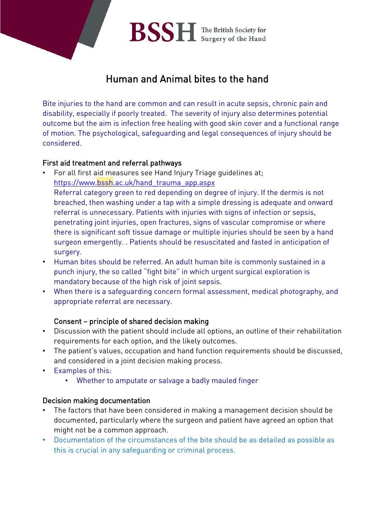# Human and Animal bites to the hand

Bite injuries to the hand are common and can result in acute sepsis, chronic pain and disability, especially if poorly treated. The severity of injury also determines potential outcome but the aim is infection free healing with good skin cover and a functional range of motion. The psychological, safeguarding and legal consequences of injury should be considered.

# First aid treatment and referral pathways

- For all first aid measures see Hand Injury Triage guidelines at; [https://www.bssh.ac.uk/hand\\_trauma\\_app.aspx](https://www.bssh.ac.uk/hand_trauma_app.aspx) Referral category green to red depending on degree of injury. If the dermis is not breached, then washing under a tap with a simple dressing is adequate and onward referral is unnecessary. Patients with injuries with signs of infection or sepsis, penetrating joint injuries, open fractures, signs of vascular compromise or where there is significant soft tissue damage or multiple injuries should be seen by a hand surgeon emergently. . Patients should be resuscitated and fasted in anticipation of surgery.
- Human bites should be referred. An adult human bite is commonly sustained in a punch injury, the so called "fight bite" in which urgent surgical exploration is mandatory because of the high risk of joint sepsis.
- When there is a safeguarding concern formal assessment, medical photography, and appropriate referral are necessary.

# Consent – principle of shared decision making

- Discussion with the patient should include all options, an outline of their rehabilitation requirements for each option, and the likely outcomes.
- The patient's values, occupation and hand function requirements should be discussed, and considered in a joint decision making process.
- Examples of this:
	- Whether to amputate or salvage a badly mauled finger

# Decision making documentation

- The factors that have been considered in making a management decision should be documented, particularly where the surgeon and patient have agreed an option that might not be a common approach.
- Documentation of the circumstances of the bite should be as detailed as possible as this is crucial in any safeguarding or criminal process.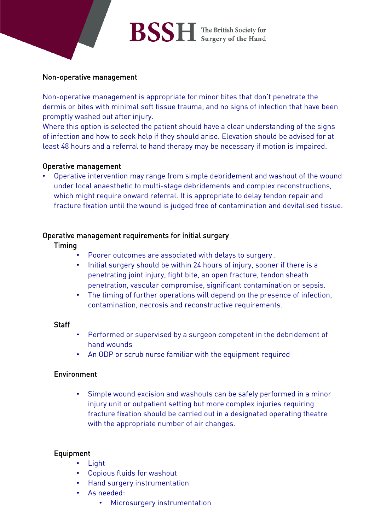# **BSSH** The British Society for

#### Non-operative management

Non-operative management is appropriate for minor bites that don't penetrate the dermis or bites with minimal soft tissue trauma, and no signs of infection that have been promptly washed out after injury.

Where this option is selected the patient should have a clear understanding of the signs of infection and how to seek help if they should arise. Elevation should be advised for at least 48 hours and a referral to hand therapy may be necessary if motion is impaired.

#### Operative management

• Operative intervention may range from simple debridement and washout of the wound under local anaesthetic to multi-stage debridements and complex reconstructions, which might require onward referral. It is appropriate to delay tendon repair and fracture fixation until the wound is judged free of contamination and devitalised tissue.

#### Operative management requirements for initial surgery

#### Timing

- Poorer outcomes are associated with delays to surgery .
- Initial surgery should be within 24 hours of injury, sooner if there is a penetrating joint injury, fight bite, an open fracture, tendon sheath penetration, vascular compromise, significant contamination or sepsis.
- The timing of further operations will depend on the presence of infection, contamination, necrosis and reconstructive requirements.

#### **Staff**

- Performed or supervised by a surgeon competent in the debridement of hand wounds
- An ODP or scrub nurse familiar with the equipment required

#### Environment

• Simple wound excision and washouts can be safely performed in a minor injury unit or outpatient setting but more complex injuries requiring fracture fixation should be carried out in a designated operating theatre with the appropriate number of air changes.

#### Equipment

- Light
- Copious fluids for washout
- Hand surgery instrumentation
- As needed:
	- Microsurgery instrumentation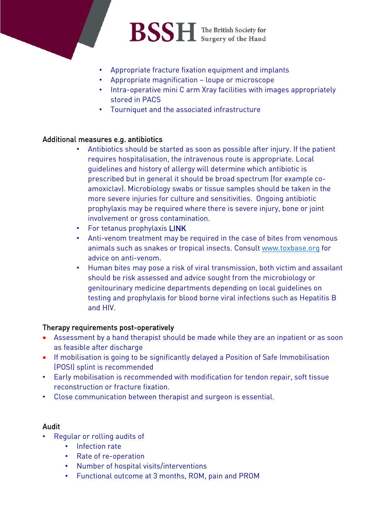

- Appropriate fracture fixation equipment and implants
- Appropriate magnification loupe or microscope
- Intra-operative mini C arm Xray facilities with images appropriately stored in PACS
- Tourniquet and the associated infrastructure

#### Additional measures e.g. antibiotics

- Antibiotics should be started as soon as possible after injury. If the patient requires hospitalisation, the intravenous route is appropriate. Local guidelines and history of allergy will determine which antibiotic is prescribed but in general it should be broad spectrum (for example coamoxiclav). Microbiology swabs or tissue samples should be taken in the more severe injuries for culture and sensitivities. Ongoing antibiotic prophylaxis may be required where there is severe injury, bone or joint involvement or gross contamination.
- For tetanus prophylaxis LINK
- Anti-venom treatment may be required in the case of bites from venomous animals such as snakes or tropical insects. Consult [www.toxbase.org](http://www.toxbase.org/) for advice on anti-venom.
- Human bites may pose a risk of viral transmission, both victim and assailant should be risk assessed and advice sought from the microbiology or genitourinary medicine departments depending on local guidelines on testing and prophylaxis for blood borne viral infections such as Hepatitis B and HIV.

#### Therapy requirements post-operatively

- Assessment by a hand therapist should be made while they are an inpatient or as soon as feasible after discharge
- If mobilisation is going to be significantly delayed a Position of Safe Immobilisation (POSI) splint is recommended
- Early mobilisation is recommended with modification for tendon repair, soft tissue reconstruction or fracture fixation.
- Close communication between therapist and surgeon is essential.

#### Audit

- Regular or rolling audits of
	- Infection rate
	- Rate of re-operation
	- Number of hospital visits/interventions
	- Functional outcome at 3 months, ROM, pain and PROM